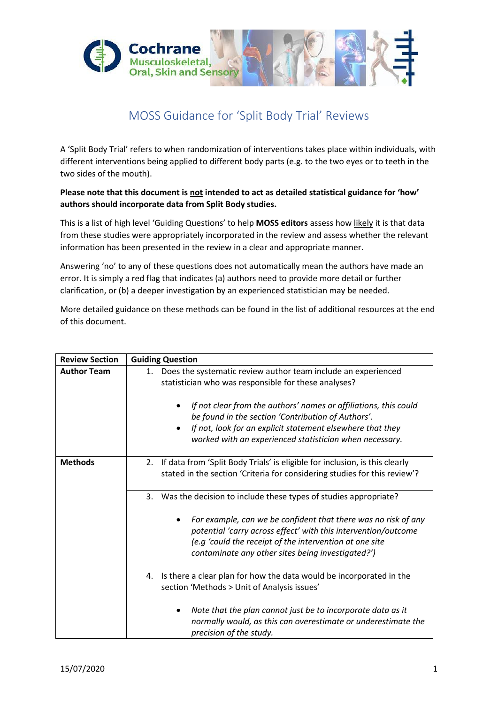

## MOSS Guidance for 'Split Body Trial' Reviews

A 'Split Body Trial' refers to when randomization of interventions takes place within individuals, with different interventions being applied to different body parts (e.g. to the two eyes or to teeth in the two sides of the mouth).

**Please note that this document is not intended to act as detailed statistical guidance for 'how' authors should incorporate data from Split Body studies.**

This is a list of high level 'Guiding Questions' to help **MOSS editors** assess how likely it is that data from these studies were appropriately incorporated in the review and assess whether the relevant information has been presented in the review in a clear and appropriate manner.

Answering 'no' to any of these questions does not automatically mean the authors have made an error. It is simply a red flag that indicates (a) authors need to provide more detail or further clarification, or (b) a deeper investigation by an experienced statistician may be needed.

More detailed guidance on these methods can be found in the list of additional resources at the end of this document.

| <b>Review Section</b> | <b>Guiding Question</b>                                                                                                                                                                                                                                                                                                                                                        |
|-----------------------|--------------------------------------------------------------------------------------------------------------------------------------------------------------------------------------------------------------------------------------------------------------------------------------------------------------------------------------------------------------------------------|
| <b>Author Team</b>    | Does the systematic review author team include an experienced<br>1.<br>statistician who was responsible for these analyses?<br>If not clear from the authors' names or affiliations, this could<br>be found in the section 'Contribution of Authors'.<br>If not, look for an explicit statement elsewhere that they<br>worked with an experienced statistician when necessary. |
| <b>Methods</b>        | If data from 'Split Body Trials' is eligible for inclusion, is this clearly<br>2.<br>stated in the section 'Criteria for considering studies for this review'?                                                                                                                                                                                                                 |
|                       | Was the decision to include these types of studies appropriate?<br>3.<br>For example, can we be confident that there was no risk of any<br>٠<br>potential 'carry across effect' with this intervention/outcome<br>(e.g 'could the receipt of the intervention at one site<br>contaminate any other sites being investigated?')                                                 |
|                       | Is there a clear plan for how the data would be incorporated in the<br>4.<br>section 'Methods > Unit of Analysis issues'<br>Note that the plan cannot just be to incorporate data as it<br>٠<br>normally would, as this can overestimate or underestimate the<br>precision of the study.                                                                                       |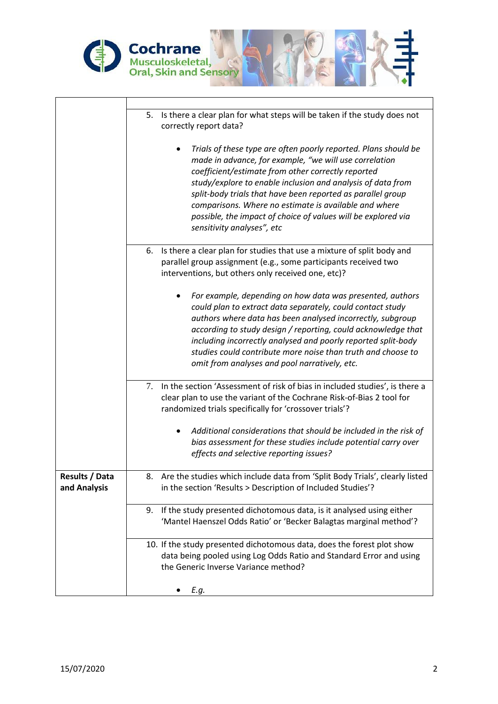

|                                | 5. Is there a clear plan for what steps will be taken if the study does not<br>correctly report data?<br>Trials of these type are often poorly reported. Plans should be<br>made in advance, for example, "we will use correlation<br>coefficient/estimate from other correctly reported<br>study/explore to enable inclusion and analysis of data from<br>split-body trials that have been reported as parallel group<br>comparisons. Where no estimate is available and where<br>possible, the impact of choice of values will be explored via<br>sensitivity analyses", etc |
|--------------------------------|--------------------------------------------------------------------------------------------------------------------------------------------------------------------------------------------------------------------------------------------------------------------------------------------------------------------------------------------------------------------------------------------------------------------------------------------------------------------------------------------------------------------------------------------------------------------------------|
|                                | Is there a clear plan for studies that use a mixture of split body and<br>6.<br>parallel group assignment (e.g., some participants received two<br>interventions, but others only received one, etc)?                                                                                                                                                                                                                                                                                                                                                                          |
|                                | For example, depending on how data was presented, authors<br>could plan to extract data separately, could contact study<br>authors where data has been analysed incorrectly, subgroup<br>according to study design / reporting, could acknowledge that<br>including incorrectly analysed and poorly reported split-body<br>studies could contribute more noise than truth and choose to<br>omit from analyses and pool narratively, etc.                                                                                                                                       |
|                                | In the section 'Assessment of risk of bias in included studies', is there a<br>$7_{\scriptscriptstyle{\ddots}}$<br>clear plan to use the variant of the Cochrane Risk-of-Bias 2 tool for<br>randomized trials specifically for 'crossover trials'?                                                                                                                                                                                                                                                                                                                             |
|                                | Additional considerations that should be included in the risk of<br>bias assessment for these studies include potential carry over<br>effects and selective reporting issues?                                                                                                                                                                                                                                                                                                                                                                                                  |
| Results / Data<br>and Analysis | 8. Are the studies which include data from 'Split Body Trials', clearly listed<br>in the section 'Results > Description of Included Studies'?                                                                                                                                                                                                                                                                                                                                                                                                                                  |
|                                | If the study presented dichotomous data, is it analysed using either<br>9.<br>'Mantel Haenszel Odds Ratio' or 'Becker Balagtas marginal method'?                                                                                                                                                                                                                                                                                                                                                                                                                               |
|                                | 10. If the study presented dichotomous data, does the forest plot show<br>data being pooled using Log Odds Ratio and Standard Error and using<br>the Generic Inverse Variance method?                                                                                                                                                                                                                                                                                                                                                                                          |
|                                | E.g.                                                                                                                                                                                                                                                                                                                                                                                                                                                                                                                                                                           |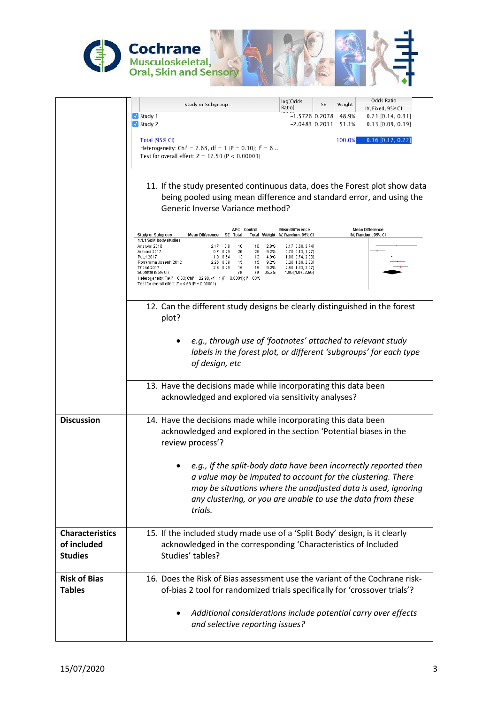

|                        | Odds Ratio<br>log[Odds<br>Study or Subgroup /<br>SE<br>Weight                                                                                                                                          |
|------------------------|--------------------------------------------------------------------------------------------------------------------------------------------------------------------------------------------------------|
|                        | Ratio]<br>IV, Fixed, 95% CI<br>$\sqrt{\ }$ Study 1<br>$-1.5726$ 0.2078 48.9%<br>$0.21$ [0.14, 0.31]                                                                                                    |
|                        | $\sqrt{}$ Study 2<br>$-2.0483$ 0.2031 51.1%<br>$0.13$ [0.09, 0.19]                                                                                                                                     |
|                        | <b>Total (95% CI)</b><br>100.0%<br>$0.16$ [0.12, 0.22]                                                                                                                                                 |
|                        | Heterogeneity: Chi <sup>2</sup> = 2.68, df = 1 (P = 0.10); $I^2$ = 6                                                                                                                                   |
|                        | Test for overall effect: $Z = 12.50$ (P < 0.00001)                                                                                                                                                     |
|                        |                                                                                                                                                                                                        |
|                        | 11. If the study presented continuous data, does the Forest plot show data                                                                                                                             |
|                        | being pooled using mean difference and standard error, and using the                                                                                                                                   |
|                        | Generic Inverse Variance method?                                                                                                                                                                       |
|                        |                                                                                                                                                                                                        |
|                        | <b>Mean Difference</b><br>APC Control<br><b>Mean Difference</b><br>Total<br>Total Weight IV, Random, 95% CI<br>IV, Random, 95% CI                                                                      |
|                        | Study or Subgroup<br><b>Mean Difference</b><br>SE<br>1.1.1 Split-body studies<br>2.8%                                                                                                                  |
|                        | 2.17 [0.60, 3.74]<br>Agarwal 2016<br>$2.17$ 0.8<br>10<br>10<br>26<br>26<br>9.2%<br>0.70 [0.13, 1.27]<br>Arabaci 2017<br>$0.7$ 0.29<br>Patel 2017<br>1.8 0.54<br>13<br>-13<br>4.9%<br>1.80 [0.74, 2.86] |
|                        | Rosamma Joseph 2012<br>15<br>2.26 [1.69, 2.83]<br>2.26 0.29<br>15<br>9.2%<br>Thorat 2017<br>$2.5$ 0.29<br>15<br>15<br>9.2%<br>2.50 [1.93, 3.07]                                                        |
|                        | Subtotal (95% CI)<br>79<br>79<br>35.2%<br>1.86 [1.07, 2.66]<br>Heterogeneity: Tau <sup>2</sup> = 0.63; Chi <sup>2</sup> = 22.90, df = 4 (P = 0.0001); i <sup>2</sup> = 83%                             |
|                        | Test for overall effect: $Z = 4.58$ (P < 0.00001)                                                                                                                                                      |
|                        |                                                                                                                                                                                                        |
|                        | 12. Can the different study designs be clearly distinguished in the forest                                                                                                                             |
|                        | plot?                                                                                                                                                                                                  |
|                        |                                                                                                                                                                                                        |
|                        | e.g., through use of 'footnotes' attached to relevant study                                                                                                                                            |
|                        | labels in the forest plot, or different 'subgroups' for each type                                                                                                                                      |
|                        | of design, etc                                                                                                                                                                                         |
|                        | 13. Have the decisions made while incorporating this data been                                                                                                                                         |
|                        | acknowledged and explored via sensitivity analyses?                                                                                                                                                    |
|                        |                                                                                                                                                                                                        |
| <b>Discussion</b>      | 14. Have the decisions made while incorporating this data been                                                                                                                                         |
|                        | acknowledged and explored in the section 'Potential biases in the                                                                                                                                      |
|                        | review process'?                                                                                                                                                                                       |
|                        |                                                                                                                                                                                                        |
|                        | e.g., If the split-body data have been incorrectly reported then                                                                                                                                       |
|                        | a value may be imputed to account for the clustering. There                                                                                                                                            |
|                        | may be situations where the unadjusted data is used, ignoring                                                                                                                                          |
|                        | any clustering, or you are unable to use the data from these                                                                                                                                           |
|                        | trials.                                                                                                                                                                                                |
|                        |                                                                                                                                                                                                        |
| <b>Characteristics</b> | 15. If the included study made use of a 'Split Body' design, is it clearly                                                                                                                             |
| of included            | acknowledged in the corresponding 'Characteristics of Included                                                                                                                                         |
| <b>Studies</b>         | Studies' tables?                                                                                                                                                                                       |
|                        |                                                                                                                                                                                                        |
| <b>Risk of Bias</b>    | 16. Does the Risk of Bias assessment use the variant of the Cochrane risk-                                                                                                                             |
| <b>Tables</b>          | of-bias 2 tool for randomized trials specifically for 'crossover trials'?                                                                                                                              |
|                        |                                                                                                                                                                                                        |
|                        | Additional considerations include potential carry over effects                                                                                                                                         |
|                        | and selective reporting issues?                                                                                                                                                                        |